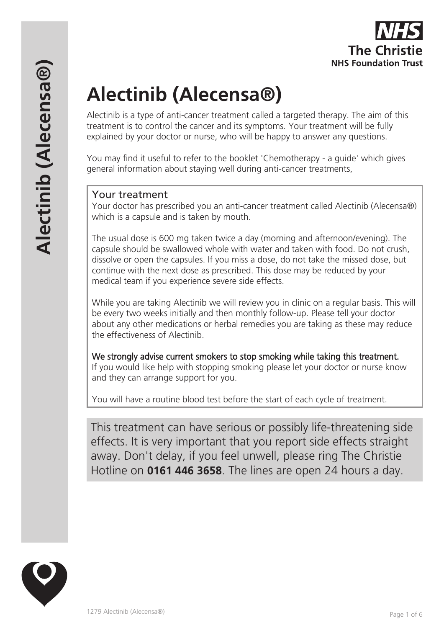# **Alectinib (Alecensa®)**

Alectinib is a type of anti-cancer treatment called a targeted therapy. The aim of this treatment is to control the cancer and its symptoms. Your treatment will be fully explained by your doctor or nurse, who will be happy to answer any questions.

You may find it useful to refer to the booklet 'Chemotherapy - a guide' which gives general information about staying well during anti-cancer treatments,

## Your treatment

Your doctor has prescribed you an anti-cancer treatment called Alectinib (Alecensa®) which is a capsule and is taken by mouth.

The usual dose is 600 mg taken twice a day (morning and afternoon/evening). The capsule should be swallowed whole with water and taken with food. Do not crush, dissolve or open the capsules. If you miss a dose, do not take the missed dose, but continue with the next dose as prescribed. This dose may be reduced by your medical team if you experience severe side effects.

While you are taking Alectinib we will review you in clinic on a regular basis. This will be every two weeks initially and then monthly follow-up. Please tell your doctor about any other medications or herbal remedies you are taking as these may reduce the effectiveness of Alectinib.

We strongly advise current smokers to stop smoking while taking this treatment. If you would like help with stopping smoking please let your doctor or nurse know and they can arrange support for you.

You will have a routine blood test before the start of each cycle of treatment.

This treatment can have serious or possibly life-threatening side effects. It is very important that you report side effects straight away. Don't delay, if you feel unwell, please ring The Christie Hotline on **0161 446 3658**. The lines are open 24 hours a day.

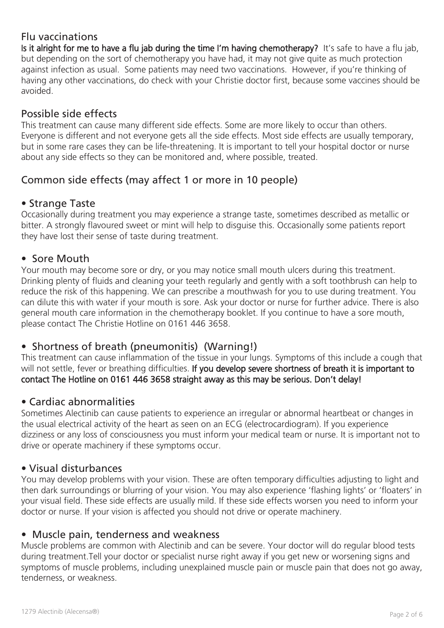# Flu vaccinations

Is it alright for me to have a flu jab during the time I'm having chemotherapy? It's safe to have a flu jab, but depending on the sort of chemotherapy you have had, it may not give quite as much protection against infection as usual. Some patients may need two vaccinations. However, if you're thinking of having any other vaccinations, do check with your Christie doctor first, because some vaccines should be avoided.

# Possible side effects

This treatment can cause many different side effects. Some are more likely to occur than others. Everyone is different and not everyone gets all the side effects. Most side effects are usually temporary, but in some rare cases they can be life-threatening. It is important to tell your hospital doctor or nurse about any side effects so they can be monitored and, where possible, treated.

# Common side effects (may affect 1 or more in 10 people)

## • Strange Taste

Occasionally during treatment you may experience a strange taste, sometimes described as metallic or bitter. A strongly flavoured sweet or mint will help to disguise this. Occasionally some patients report they have lost their sense of taste during treatment.

## • Sore Mouth

Your mouth may become sore or dry, or you may notice small mouth ulcers during this treatment. Drinking plenty of fluids and cleaning your teeth regularly and gently with a soft toothbrush can help to reduce the risk of this happening. We can prescribe a mouthwash for you to use during treatment. You can dilute this with water if your mouth is sore. Ask your doctor or nurse for further advice. There is also general mouth care information in the chemotherapy booklet. If you continue to have a sore mouth, please contact The Christie Hotline on 0161 446 3658.

# • Shortness of breath (pneumonitis) (Warning!)

This treatment can cause inflammation of the tissue in your lungs. Symptoms of this include a cough that will not settle, fever or breathing difficulties. If you develop severe shortness of breath it is important to contact The Hotline on 0161 446 3658 straight away as this may be serious. Don't delay!

# • Cardiac abnormalities

Sometimes Alectinib can cause patients to experience an irregular or abnormal heartbeat or changes in the usual electrical activity of the heart as seen on an ECG (electrocardiogram). If you experience dizziness or any loss of consciousness you must inform your medical team or nurse. It is important not to drive or operate machinery if these symptoms occur.

## • Visual disturbances

You may develop problems with your vision. These are often temporary difficulties adjusting to light and then dark surroundings or blurring of your vision. You may also experience 'flashing lights' or 'floaters' in your visual field. These side effects are usually mild. If these side effects worsen you need to inform your doctor or nurse. If your vision is affected you should not drive or operate machinery.

## • Muscle pain, tenderness and weakness

Muscle problems are common with Alectinib and can be severe. Your doctor will do regular blood tests during treatment.Tell your doctor or specialist nurse right away if you get new or worsening signs and symptoms of muscle problems, including unexplained muscle pain or muscle pain that does not go away, tenderness, or weakness.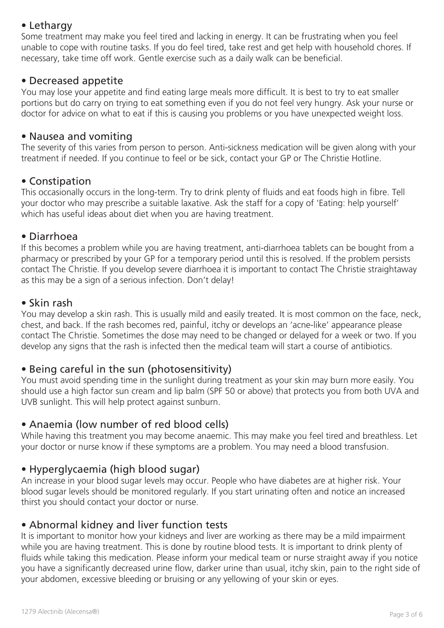# • Lethargy

Some treatment may make you feel tired and lacking in energy. It can be frustrating when you feel unable to cope with routine tasks. If you do feel tired, take rest and get help with household chores. If necessary, take time off work. Gentle exercise such as a daily walk can be beneficial.

#### • Decreased appetite

You may lose your appetite and find eating large meals more difficult. It is best to try to eat smaller portions but do carry on trying to eat something even if you do not feel very hungry. Ask your nurse or doctor for advice on what to eat if this is causing you problems or you have unexpected weight loss.

#### • Nausea and vomiting

The severity of this varies from person to person. Anti-sickness medication will be given along with your treatment if needed. If you continue to feel or be sick, contact your GP or The Christie Hotline.

## • Constipation

This occasionally occurs in the long-term. Try to drink plenty of fluids and eat foods high in fibre. Tell your doctor who may prescribe a suitable laxative. Ask the staff for a copy of 'Eating: help yourself' which has useful ideas about diet when you are having treatment.

#### • Diarrhoea

If this becomes a problem while you are having treatment, anti-diarrhoea tablets can be bought from a pharmacy or prescribed by your GP for a temporary period until this is resolved. If the problem persists contact The Christie. If you develop severe diarrhoea it is important to contact The Christie straightaway as this may be a sign of a serious infection. Don't delay!

#### • Skin rash

You may develop a skin rash. This is usually mild and easily treated. It is most common on the face, neck, chest, and back. If the rash becomes red, painful, itchy or develops an 'acne-like' appearance please contact The Christie. Sometimes the dose may need to be changed or delayed for a week or two. If you develop any signs that the rash is infected then the medical team will start a course of antibiotics.

## • Being careful in the sun (photosensitivity)

You must avoid spending time in the sunlight during treatment as your skin may burn more easily. You should use a high factor sun cream and lip balm (SPF 50 or above) that protects you from both UVA and UVB sunlight. This will help protect against sunburn.

## • Anaemia (low number of red blood cells)

While having this treatment you may become anaemic. This may make you feel tired and breathless. Let your doctor or nurse know if these symptoms are a problem. You may need a blood transfusion.

## • Hyperglycaemia (high blood sugar)

An increase in your blood sugar levels may occur. People who have diabetes are at higher risk. Your blood sugar levels should be monitored regularly. If you start urinating often and notice an increased thirst you should contact your doctor or nurse.

#### • Abnormal kidney and liver function tests

It is important to monitor how your kidneys and liver are working as there may be a mild impairment while you are having treatment. This is done by routine blood tests. It is important to drink plenty of fluids while taking this medication. Please inform your medical team or nurse straight away if you notice you have a significantly decreased urine flow, darker urine than usual, itchy skin, pain to the right side of your abdomen, excessive bleeding or bruising or any yellowing of your skin or eyes.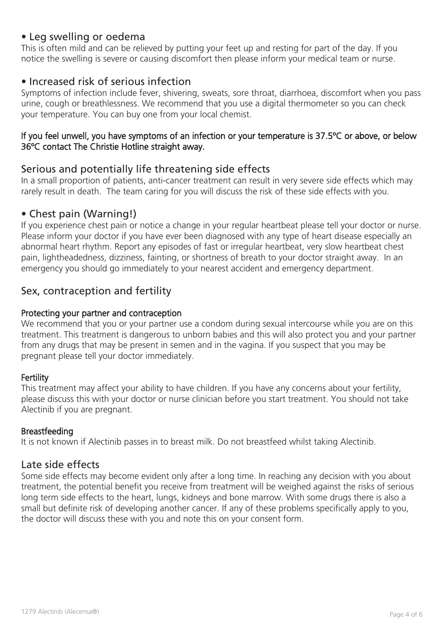## • Leg swelling or oedema

This is often mild and can be relieved by putting your feet up and resting for part of the day. If you notice the swelling is severe or causing discomfort then please inform your medical team or nurse.

## • Increased risk of serious infection

Symptoms of infection include fever, shivering, sweats, sore throat, diarrhoea, discomfort when you pass urine, cough or breathlessness. We recommend that you use a digital thermometer so you can check your temperature. You can buy one from your local chemist.

#### If you feel unwell, you have symptoms of an infection or your temperature is 37.5ºC or above, or below 36ºC contact The Christie Hotline straight away.

## Serious and potentially life threatening side effects

In a small proportion of patients, anti-cancer treatment can result in very severe side effects which may rarely result in death. The team caring for you will discuss the risk of these side effects with you.

## • Chest pain (Warning!)

If you experience chest pain or notice a change in your regular heartbeat please tell your doctor or nurse. Please inform your doctor if you have ever been diagnosed with any type of heart disease especially an abnormal heart rhythm. Report any episodes of fast or irregular heartbeat, very slow heartbeat chest pain, lightheadedness, dizziness, fainting, or shortness of breath to your doctor straight away. In an emergency you should go immediately to your nearest accident and emergency department.

# Sex, contraception and fertility

#### Protecting your partner and contraception

We recommend that you or your partner use a condom during sexual intercourse while you are on this treatment. This treatment is dangerous to unborn babies and this will also protect you and your partner from any drugs that may be present in semen and in the vagina. If you suspect that you may be pregnant please tell your doctor immediately.

#### **Fertility**

This treatment may affect your ability to have children. If you have any concerns about your fertility, please discuss this with your doctor or nurse clinician before you start treatment. You should not take Alectinib if you are pregnant.

#### Breastfeeding

It is not known if Alectinib passes in to breast milk. Do not breastfeed whilst taking Alectinib.

## Late side effects

Some side effects may become evident only after a long time. In reaching any decision with you about treatment, the potential benefit you receive from treatment will be weighed against the risks of serious long term side effects to the heart, lungs, kidneys and bone marrow. With some drugs there is also a small but definite risk of developing another cancer. If any of these problems specifically apply to you, the doctor will discuss these with you and note this on your consent form.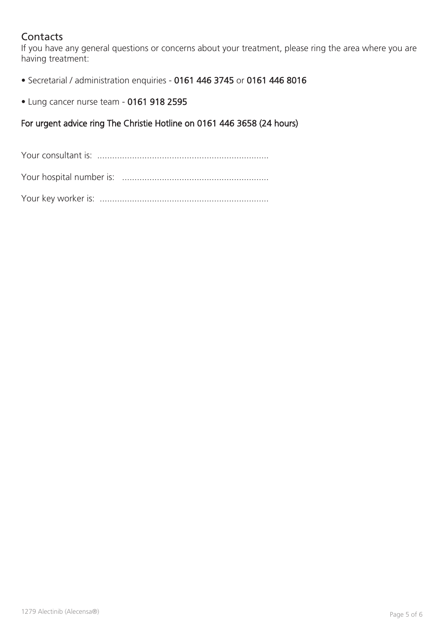# **Contacts**

If you have any general questions or concerns about your treatment, please ring the area where you are having treatment:

• Secretarial / administration enquiries - 0161 446 3745 or 0161 446 8016

• Lung cancer nurse team - 0161 918 2595

#### For urgent advice ring The Christie Hotline on 0161 446 3658 (24 hours)

Your consultant is: .....................................................................

Your hospital number is: ...........................................................

Your key worker is: ....................................................................